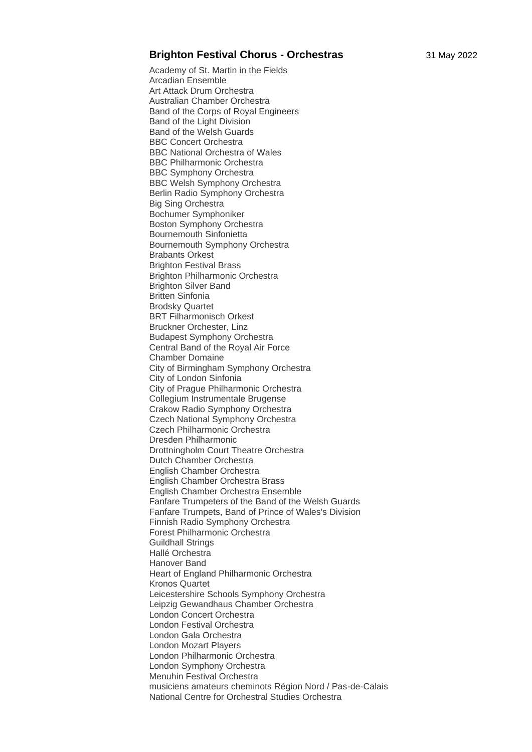## **Brighton Festival Chorus - Orchestras** 31 May 2022

Academy of St. Martin in the Fields Arcadian Ensemble Art Attack Drum Orchestra Australian Chamber Orchestra Band of the Corps of Royal Engineers Band of the Light Division Band of the Welsh Guards BBC Concert Orchestra BBC National Orchestra of Wales BBC Philharmonic Orchestra BBC Symphony Orchestra BBC Welsh Symphony Orchestra Berlin Radio Symphony Orchestra Big Sing Orchestra Bochumer Symphoniker Boston Symphony Orchestra Bournemouth Sinfonietta Bournemouth Symphony Orchestra Brabants Orkest Brighton Festival Brass Brighton Philharmonic Orchestra Brighton Silver Band Britten Sinfonia Brodsky Quartet BRT Filharmonisch Orkest Bruckner Orchester, Linz Budapest Symphony Orchestra Central Band of the Royal Air Force Chamber Domaine City of Birmingham Symphony Orchestra City of London Sinfonia City of Prague Philharmonic Orchestra Collegium Instrumentale Brugense Crakow Radio Symphony Orchestra Czech National Symphony Orchestra Czech Philharmonic Orchestra Dresden Philharmonic Drottningholm Court Theatre Orchestra Dutch Chamber Orchestra English Chamber Orchestra English Chamber Orchestra Brass English Chamber Orchestra Ensemble Fanfare Trumpeters of the Band of the Welsh Guards Fanfare Trumpets, Band of Prince of Wales's Division Finnish Radio Symphony Orchestra Forest Philharmonic Orchestra Guildhall Strings Hallé Orchestra Hanover Band Heart of England Philharmonic Orchestra Kronos Quartet Leicestershire Schools Symphony Orchestra Leipzig Gewandhaus Chamber Orchestra London Concert Orchestra London Festival Orchestra London Gala Orchestra London Mozart Players London Philharmonic Orchestra London Symphony Orchestra Menuhin Festival Orchestra musiciens amateurs cheminots Région Nord / Pas-de-Calais National Centre for Orchestral Studies Orchestra